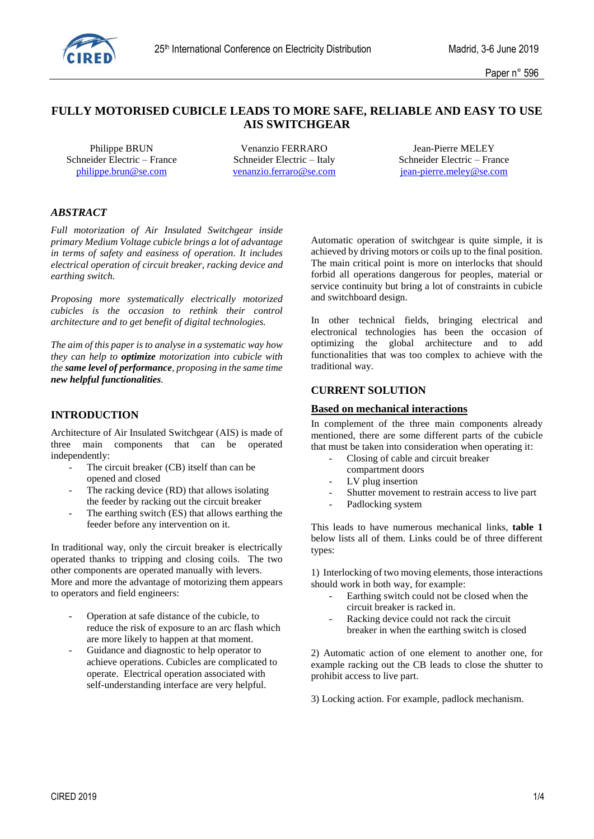

# **FULLY MOTORISED CUBICLE LEADS TO MORE SAFE, RELIABLE AND EASY TO USE AIS SWITCHGEAR**

Schneider Electric – France Schneider Electric – Italy Schneider Electric – France

Philippe BRUN Venanzio FERRARO Jean-Pierre MELEY [philippe.brun@se.com](mailto:philippe.brun@se.com) [venanzio.ferraro@se.com](mailto:venanzio.ferraro@se.com) [jean-pierre.meley@se.com](mailto:jean-pierre.meley@se.com)

# *ABSTRACT*

*Full motorization of Air Insulated Switchgear inside primary Medium Voltage cubicle brings a lot of advantage in terms of safety and easiness of operation. It includes electrical operation of circuit breaker, racking device and earthing switch.*

*Proposing more systematically electrically motorized cubicles is the occasion to rethink their control architecture and to get benefit of digital technologies.* 

*The aim of this paper is to analyse in a systematic way how they can help to optimize motorization into cubicle with the same level of performance, proposing in the same time new helpful functionalities.*

# **INTRODUCTION**

Architecture of Air Insulated Switchgear (AIS) is made of three main components that can be operated independently:

- The circuit breaker (CB) itself than can be opened and closed
- The racking device (RD) that allows isolating the feeder by racking out the circuit breaker
- The earthing switch (ES) that allows earthing the feeder before any intervention on it.

In traditional way, only the circuit breaker is electrically operated thanks to tripping and closing coils. The two other components are operated manually with levers. More and more the advantage of motorizing them appears to operators and field engineers:

- Operation at safe distance of the cubicle, to reduce the risk of exposure to an arc flash which are more likely to happen at that moment.
- Guidance and diagnostic to help operator to achieve operations. Cubicles are complicated to operate. Electrical operation associated with self-understanding interface are very helpful.

Automatic operation of switchgear is quite simple, it is achieved by driving motors or coils up to the final position. The main critical point is more on interlocks that should forbid all operations dangerous for peoples, material or service continuity but bring a lot of constraints in cubicle and switchboard design.

In other technical fields, bringing electrical and electronical technologies has been the occasion of optimizing the global architecture and to add functionalities that was too complex to achieve with the traditional way.

### **CURRENT SOLUTION**

#### **Based on mechanical interactions**

In complement of the three main components already mentioned, there are some different parts of the cubicle that must be taken into consideration when operating it:

- Closing of cable and circuit breaker
- compartment doors
- LV plug insertion
- Shutter movement to restrain access to live part
- Padlocking system

This leads to have numerous mechanical links, **table 1** below lists all of them. Links could be of three different types:

1) Interlocking of two moving elements, those interactions should work in both way, for example:

- Earthing switch could not be closed when the circuit breaker is racked in.
- Racking device could not rack the circuit breaker in when the earthing switch is closed

2) Automatic action of one element to another one, for example racking out the CB leads to close the shutter to prohibit access to live part.

3) Locking action. For example, padlock mechanism.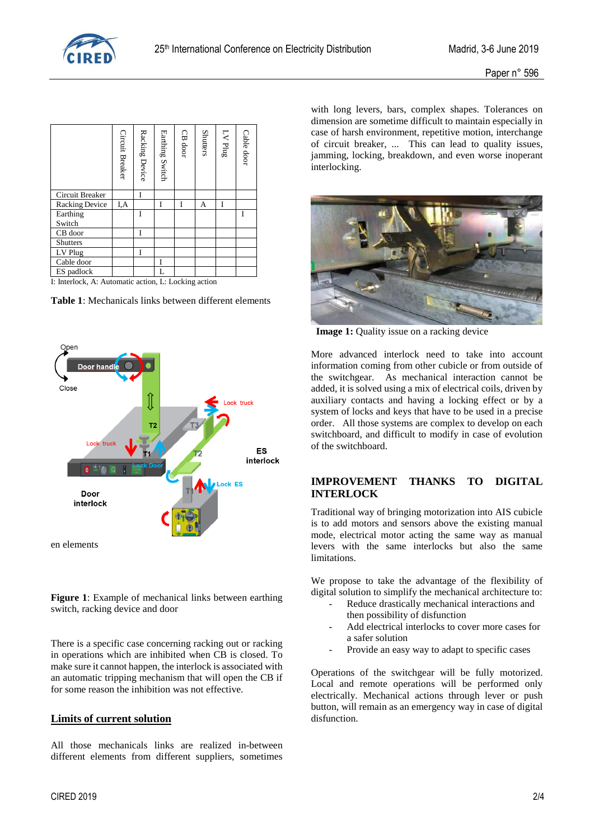

|                       | Circuit Breaker | Racking Device | Earthing Switch | CB door | <b>Shutters</b> | $\ensuremath{\mathrm{L}}\ensuremath{\mathsf{V}}$ Plug | Cable door |
|-----------------------|-----------------|----------------|-----------------|---------|-----------------|-------------------------------------------------------|------------|
| Circuit Breaker       |                 |                |                 |         |                 |                                                       |            |
| <b>Racking Device</b> | I,A             |                |                 | Ī       | А               | I                                                     |            |
| Earthing              |                 | Ī              |                 |         |                 |                                                       | I          |
| Switch                |                 |                |                 |         |                 |                                                       |            |
| CB door               |                 |                |                 |         |                 |                                                       |            |
| <b>Shutters</b>       |                 |                |                 |         |                 |                                                       |            |
| LV Plug               |                 |                |                 |         |                 |                                                       |            |
| Cable door            |                 |                |                 |         |                 |                                                       |            |
| ES padlock            |                 |                |                 |         |                 |                                                       |            |

I: Interlock, A: Automatic action, L: Locking action





**Figure 1**: Example of mechanical links between earthing switch, racking device and door

There is a specific case concerning racking out or racking in operations which are inhibited when CB is closed. To make sure it cannot happen, the interlock is associated with an automatic tripping mechanism that will open the CB if for some reason the inhibition was not effective.

#### **Limits of current solution**

All those mechanicals links are realized in-between different elements from different suppliers, sometimes

with long levers, bars, complex shapes. Tolerances on dimension are sometime difficult to maintain especially in case of harsh environment, repetitive motion, interchange of circuit breaker, ... This can lead to quality issues, jamming, locking, breakdown, and even worse inoperant interlocking.



**Image 1:** Quality issue on a racking device

More advanced interlock need to take into account information coming from other cubicle or from outside of the switchgear. As mechanical interaction cannot be added, it is solved using a mix of electrical coils, driven by auxiliary contacts and having a locking effect or by a system of locks and keys that have to be used in a precise order. All those systems are complex to develop on each switchboard, and difficult to modify in case of evolution of the switchboard.

## **IMPROVEMENT THANKS TO DIGITAL INTERLOCK**

Traditional way of bringing motorization into AIS cubicle is to add motors and sensors above the existing manual mode, electrical motor acting the same way as manual levers with the same interlocks but also the same limitations.

We propose to take the advantage of the flexibility of digital solution to simplify the mechanical architecture to:

- Reduce drastically mechanical interactions and then possibility of disfunction
- Add electrical interlocks to cover more cases for a safer solution
- Provide an easy way to adapt to specific cases

Operations of the switchgear will be fully motorized. Local and remote operations will be performed only electrically. Mechanical actions through lever or push button, will remain as an emergency way in case of digital disfunction.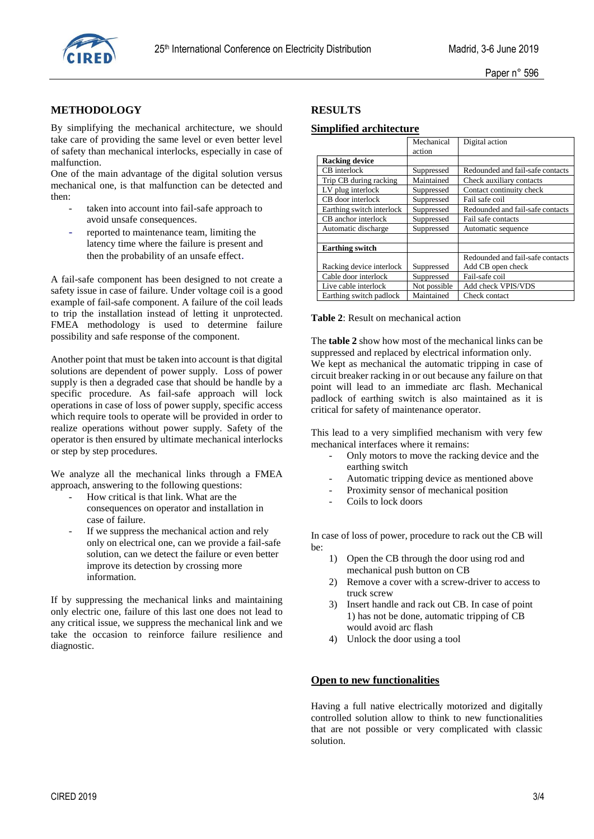

# **METHODOLOGY**

By simplifying the mechanical architecture, we should take care of providing the same level or even better level of safety than mechanical interlocks, especially in case of malfunction.

One of the main advantage of the digital solution versus mechanical one, is that malfunction can be detected and then:

- taken into account into fail-safe approach to avoid unsafe consequences.
- reported to maintenance team, limiting the latency time where the failure is present and then the probability of an unsafe effect.

A fail-safe component has been designed to not create a safety issue in case of failure. Under voltage coil is a good example of fail-safe component. A failure of the coil leads to trip the installation instead of letting it unprotected. FMEA methodology is used to determine failure possibility and safe response of the component.

Another point that must be taken into account is that digital solutions are dependent of power supply. Loss of power supply is then a degraded case that should be handle by a specific procedure. As fail-safe approach will lock operations in case of loss of power supply, specific access which require tools to operate will be provided in order to realize operations without power supply. Safety of the operator is then ensured by ultimate mechanical interlocks or step by step procedures.

We analyze all the mechanical links through a FMEA approach, answering to the following questions:

- How critical is that link. What are the consequences on operator and installation in case of failure.
- If we suppress the mechanical action and rely only on electrical one, can we provide a fail-safe solution, can we detect the failure or even better improve its detection by crossing more information.

If by suppressing the mechanical links and maintaining only electric one, failure of this last one does not lead to any critical issue, we suppress the mechanical link and we take the occasion to reinforce failure resilience and diagnostic.

# **RESULTS**

### **Simplified architecture**

|                           | Mechanical   | Digital action                   |  |
|---------------------------|--------------|----------------------------------|--|
|                           | action       |                                  |  |
| <b>Racking device</b>     |              |                                  |  |
| CB interlock              | Suppressed   | Redounded and fail-safe contacts |  |
| Trip CB during racking    | Maintained   | Check auxiliary contacts         |  |
| LV plug interlock         | Suppressed   | Contact continuity check         |  |
| CB door interlock         | Suppressed   | Fail safe coil                   |  |
| Earthing switch interlock | Suppressed   | Redounded and fail-safe contacts |  |
| CB anchor interlock       | Suppressed   | Fail safe contacts               |  |
| Automatic discharge       | Suppressed   | Automatic sequence               |  |
|                           |              |                                  |  |
| <b>Earthing switch</b>    |              |                                  |  |
|                           |              | Redounded and fail-safe contacts |  |
| Racking device interlock  | Suppressed   | Add CB open check                |  |
| Cable door interlock      | Suppressed   | Fail-safe coil                   |  |
| Live cable interlock      | Not possible | Add check VPIS/VDS               |  |
| Earthing switch padlock   | Maintained   | Check contact                    |  |

**Table 2**: Result on mechanical action

The **table 2** show how most of the mechanical links can be suppressed and replaced by electrical information only. We kept as mechanical the automatic tripping in case of circuit breaker racking in or out because any failure on that point will lead to an immediate arc flash. Mechanical padlock of earthing switch is also maintained as it is critical for safety of maintenance operator.

This lead to a very simplified mechanism with very few mechanical interfaces where it remains:

- Only motors to move the racking device and the earthing switch
- Automatic tripping device as mentioned above
- Proximity sensor of mechanical position
- Coils to lock doors

In case of loss of power, procedure to rack out the CB will be:

- 1) Open the CB through the door using rod and mechanical push button on CB
- 2) Remove a cover with a screw-driver to access to truck screw
- 3) Insert handle and rack out CB. In case of point 1) has not be done, automatic tripping of CB would avoid arc flash
- 4) Unlock the door using a tool

# **Open to new functionalities**

Having a full native electrically motorized and digitally controlled solution allow to think to new functionalities that are not possible or very complicated with classic solution.